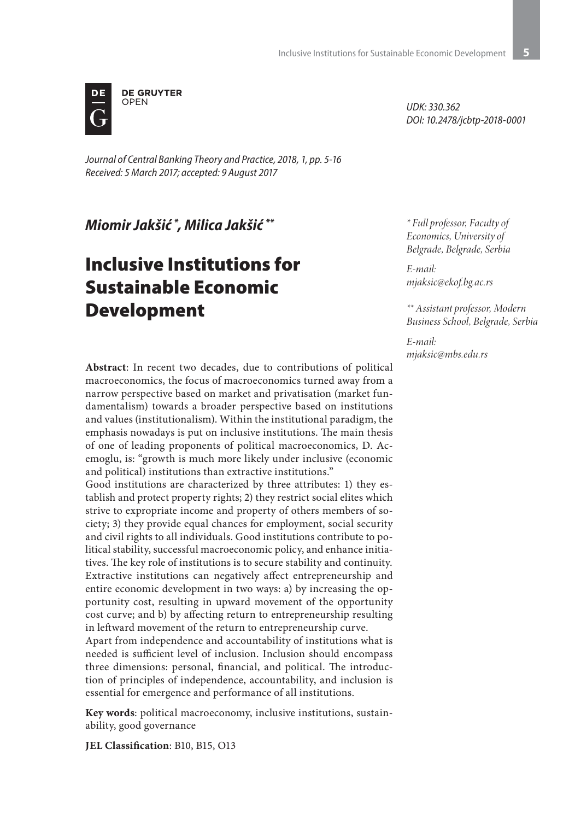

*Journal of Central Banking Theory and Practice, 2018, 1, pp. 5-16 Received: 5 March 2017; accepted: 9 August 2017*

*Miomir Jakšić \* , Milica Jakšić \*\**

# Inclusive Institutions for Sustainable Economic Development

**Abstract**: In recent two decades, due to contributions of political macroeconomics, the focus of macroeconomics turned away from a narrow perspective based on market and privatisation (market fundamentalism) towards a broader perspective based on institutions and values (institutionalism). Within the institutional paradigm, the emphasis nowadays is put on inclusive institutions. The main thesis of one of leading proponents of political macroeconomics, D. Acemoglu, is: "growth is much more likely under inclusive (economic and political) institutions than extractive institutions."

Good institutions are characterized by three attributes: 1) they establish and protect property rights; 2) they restrict social elites which strive to expropriate income and property of others members of society; 3) they provide equal chances for employment, social security and civil rights to all individuals. Good institutions contribute to political stability, successful macroeconomic policy, and enhance initiatives. The key role of institutions is to secure stability and continuity. Extractive institutions can negatively affect entrepreneurship and entire economic development in two ways: a) by increasing the opportunity cost, resulting in upward movement of the opportunity cost curve; and b) by affecting return to entrepreneurship resulting in leftward movement of the return to entrepreneurship curve.

Apart from independence and accountability of institutions what is needed is sufficient level of inclusion. Inclusion should encompass three dimensions: personal, financial, and political. The introduction of principles of independence, accountability, and inclusion is essential for emergence and performance of all institutions.

**Key words**: political macroeconomy, inclusive institutions, sustainability, good governance

**JEL Classification**: B10, B15, O13

*UDK: 330.362 DOI: 10.2478/jcbtp-2018-0001*

*\* Full professor, Faculty of Economics, University of Belgrade, Belgrade, Serbia* 

*E-mail: mjaksic@ekof.bg.ac.rs*

*\*\* Assistant professor, Modern Business School, Belgrade, Serbia* 

*E-mail: mjaksic@mbs.edu.rs*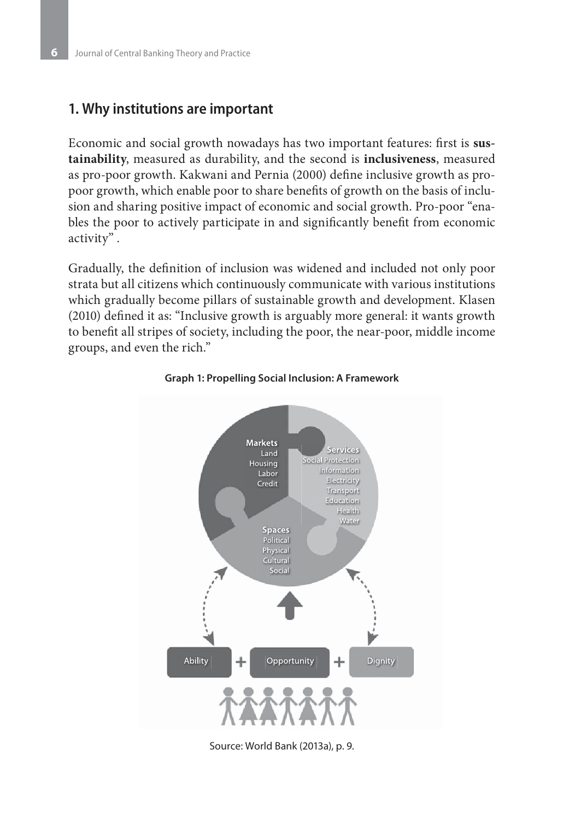## **1. Why institutions are important**

Economic and social growth nowadays has two important features: first is sus**tainability**, measured as durability, and the second is **inclusiveness**, measured as pro-poor growth. Kakwani and Pernia (2000) define inclusive growth as propoor growth, which enable poor to share benefits of growth on the basis of inclusion and sharing positive impact of economic and social growth. Pro-poor "enables the poor to actively participate in and significantly benefit from economic activity" .

Gradually, the definition of inclusion was widened and included not only poor strata but all citizens which continuously communicate with various institutions which gradually become pillars of sustainable growth and development. Klasen (2010) defined it as: "Inclusive growth is arguably more general: it wants growth to benefit all stripes of society, including the poor, the near-poor, middle income groups, and even the rich."



#### **Graph 1: Propelling Social Inclusion: A Framework**

Source: World Bank (2013a), p. 9.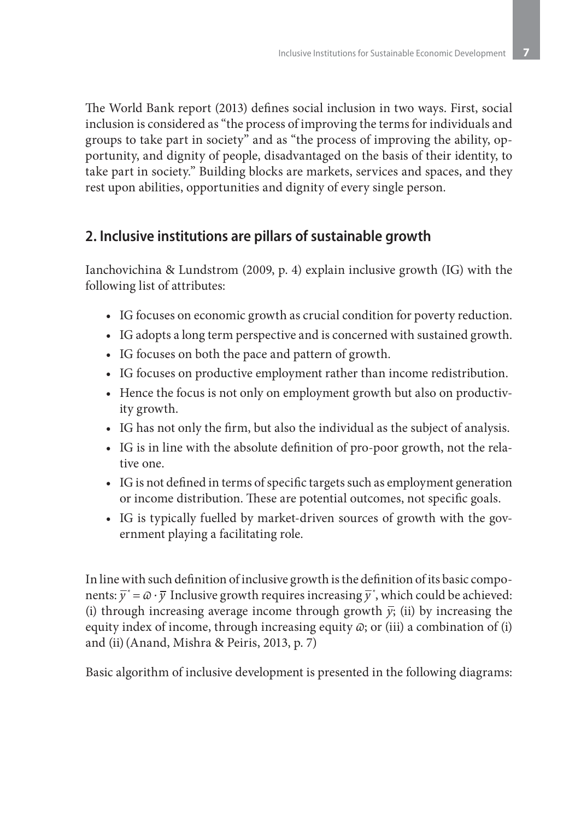The World Bank report (2013) defines social inclusion in two ways. First, social inclusion is considered as "the process of improving the terms for individuals and groups to take part in society" and as "the process of improving the ability, opportunity, and dignity of people, disadvantaged on the basis of their identity, to take part in society." Building blocks are markets, services and spaces, and they rest upon abilities, opportunities and dignity of every single person.

## **2. Inclusive institutions are pillars of sustainable growth**

Ianchovichina & Lundstrom (2009, p. 4) explain inclusive growth (IG) with the following list of attributes:

- IG focuses on economic growth as crucial condition for poverty reduction.
- IG adopts a long term perspective and is concerned with sustained growth.
- • IG focuses on both the pace and pattern of growth.
- IG focuses on productive employment rather than income redistribution.
- Hence the focus is not only on employment growth but also on productivity growth.
- IG has not only the firm, but also the individual as the subject of analysis.
- IG is in line with the absolute definition of pro-poor growth, not the relative one.
- IG is not defined in terms of specific targets such as employment generation or income distribution. These are potential outcomes, not specific goals.
- IG is typically fuelled by market-driven sources of growth with the government playing a facilitating role.

In line with such definition of inclusive growth is the definition of its basic components:  $\overline{y}^* = \varpi \cdot \overline{y}$  Inclusive growth requires increasing  $\overline{y}^*$ , which could be achieved: (i) through increasing average income through growth  $\bar{y}$ ; (ii) by increasing the equity index of income, through increasing equity  $\omega$ ; or (iii) a combination of (i) and (ii)(Anand, Mishra & Peiris, 2013, p. 7)

Basic algorithm of inclusive development is presented in the following diagrams: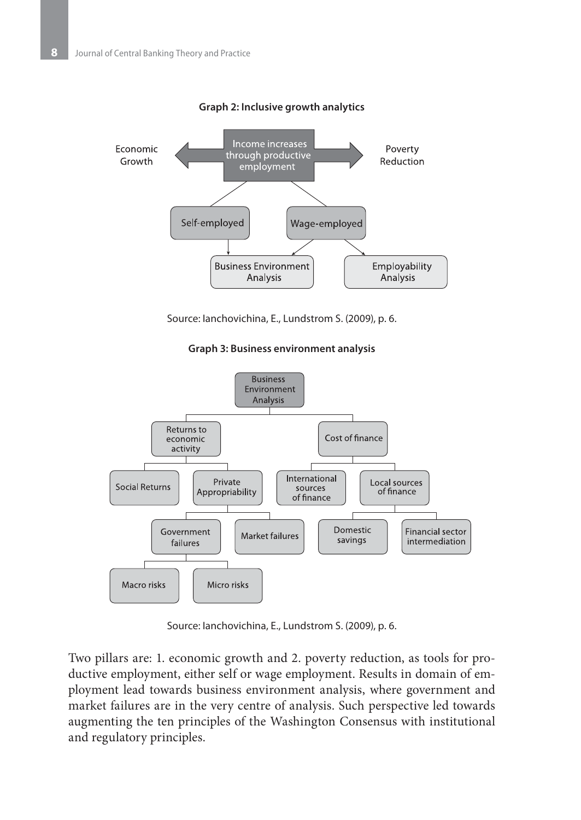

**Graph 2: Inclusive growth analytics**

Source: Ianchovichina, E., Lundstrom S. (2009), p. 6.

**Graph 3: Business environment analysis**



Source: Ianchovichina, E., Lundstrom S. (2009), p. 6.

Two pillars are: 1. economic growth and 2. poverty reduction, as tools for productive employment, either self or wage employment. Results in domain of employment lead towards business environment analysis, where government and market failures are in the very centre of analysis. Such perspective led towards augmenting the ten principles of the Washington Consensus with institutional and regulatory principles.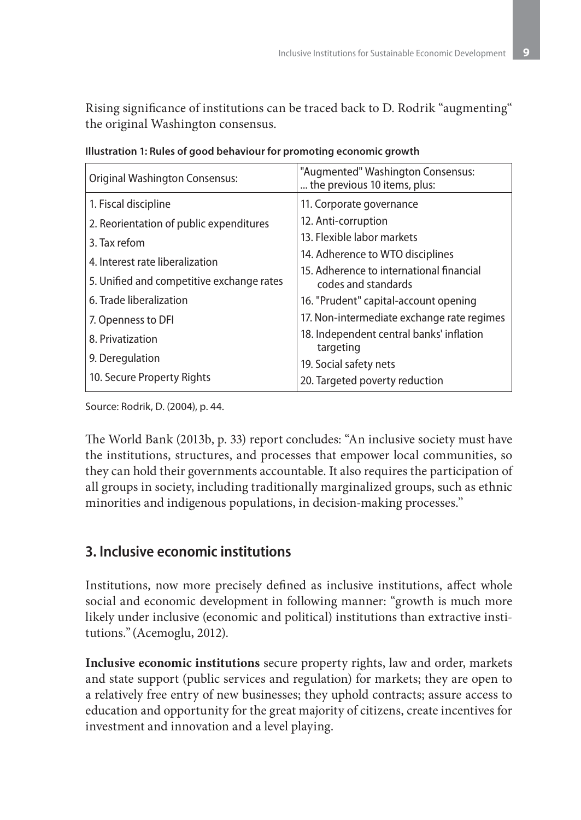Rising significance of institutions can be traced back to D. Rodrik "augmenting" the original Washington consensus.

| <b>Original Washington Consensus:</b>     | "Augmented" Washington Consensus:<br>the previous 10 items, plus: |  |  |  |  |  |
|-------------------------------------------|-------------------------------------------------------------------|--|--|--|--|--|
| 1. Fiscal discipline                      | 11. Corporate governance                                          |  |  |  |  |  |
| 2. Reorientation of public expenditures   | 12. Anti-corruption                                               |  |  |  |  |  |
| 3. Tax refom                              | 13. Flexible labor markets                                        |  |  |  |  |  |
| 4. Interest rate liberalization           | 14. Adherence to WTO disciplines                                  |  |  |  |  |  |
|                                           | 15. Adherence to international financial                          |  |  |  |  |  |
| 5. Unified and competitive exchange rates | codes and standards                                               |  |  |  |  |  |
| 6. Trade liberalization                   | 16. "Prudent" capital-account opening                             |  |  |  |  |  |
| 7. Openness to DFI                        | 17. Non-intermediate exchange rate regimes                        |  |  |  |  |  |
| 8. Privatization                          | 18. Independent central banks' inflation<br>targeting             |  |  |  |  |  |
| 9. Deregulation                           | 19. Social safety nets                                            |  |  |  |  |  |
| 10. Secure Property Rights                | 20. Targeted poverty reduction                                    |  |  |  |  |  |

|  |  |  |  | Illustration 1: Rules of good behaviour for promoting economic growth |
|--|--|--|--|-----------------------------------------------------------------------|
|--|--|--|--|-----------------------------------------------------------------------|

Source: Rodrik, D. (2004), p. 44.

The World Bank (2013b, p. 33) report concludes: "An inclusive society must have the institutions, structures, and processes that empower local communities, so they can hold their governments accountable. It also requires the participation of all groups in society, including traditionally marginalized groups, such as ethnic minorities and indigenous populations, in decision-making processes."

# **3. Inclusive economic institutions**

Institutions, now more precisely defined as inclusive institutions, affect whole social and economic development in following manner: "growth is much more likely under inclusive (economic and political) institutions than extractive institutions." (Acemoglu, 2012).

**Inclusive economic institutions** secure property rights, law and order, markets and state support (public services and regulation) for markets; they are open to a relatively free entry of new businesses; they uphold contracts; assure access to education and opportunity for the great majority of citizens, create incentives for investment and innovation and a level playing.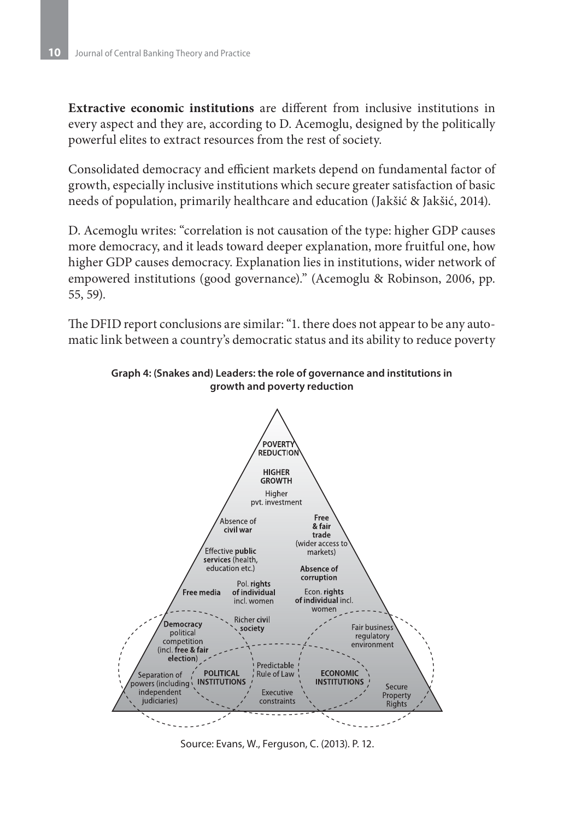**Extractive economic institutions** are different from inclusive institutions in every aspect and they are, according to D. Acemoglu, designed by the politically powerful elites to extract resources from the rest of society.

Consolidated democracy and efficient markets depend on fundamental factor of growth, especially inclusive institutions which secure greater satisfaction of basic needs of population, primarily healthcare and education (Jakšić & Jakšić, 2014).

D. Acemoglu writes: "correlation is not causation of the type: higher GDP causes more democracy, and it leads toward deeper explanation, more fruitful one, how higher GDP causes democracy. Explanation lies in institutions, wider network of empowered institutions (good governance)." (Acemoglu & Robinson, 2006, pp. 55, 59).

The DFID report conclusions are similar: "1. there does not appear to be any automatic link between a country's democratic status and its ability to reduce poverty



**Graph 4: (Snakes and) Leaders: the role of governance and institutions in growth and poverty reduction**

Source: Evans, W., Ferguson, C. (2013). P. 12.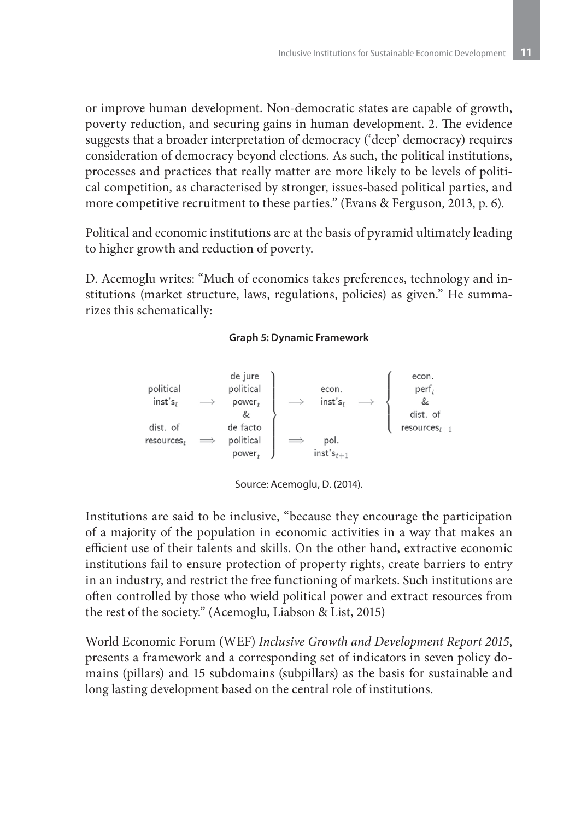or improve human development. Non-democratic states are capable of growth, poverty reduction, and securing gains in human development. 2. The evidence suggests that a broader interpretation of democracy ('deep' democracy) requires consideration of democracy beyond elections. As such, the political institutions, processes and practices that really matter are more likely to be levels of political competition, as characterised by stronger, issues-based political parties, and more competitive recruitment to these parties." (Evans & Ferguson, 2013, p. 6).

Political and economic institutions are at the basis of pyramid ultimately leading to higher growth and reduction of poverty.

D. Acemoglu writes: "Much of economics takes preferences, technology and institutions (market structure, laws, regulations, policies) as given." He summarizes this schematically:

#### **Graph 5: Dynamic Framework**



Source: Acemoglu, D. (2014).

Institutions are said to be inclusive, "because they encourage the participation of a majority of the population in economic activities in a way that makes an efficient use of their talents and skills. On the other hand, extractive economic institutions fail to ensure protection of property rights, create barriers to entry in an industry, and restrict the free functioning of markets. Such institutions are often controlled by those who wield political power and extract resources from the rest of the society." (Acemoglu, Liabson & List, 2015)

World Economic Forum (WEF) *Inclusive Growth and Development Report 2015*, presents a framework and a corresponding set of indicators in seven policy domains (pillars) and 15 subdomains (subpillars) as the basis for sustainable and long lasting development based on the central role of institutions.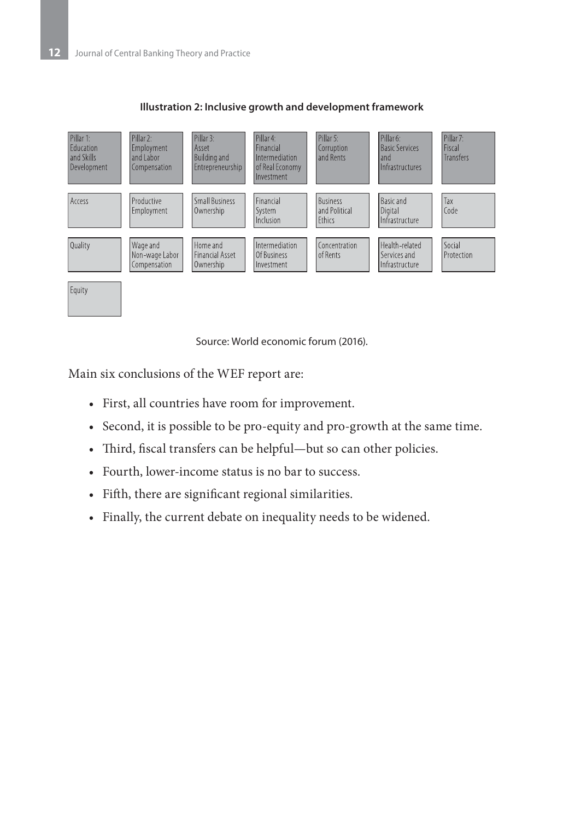

#### **Illustration 2: Inclusive growth and development framework**

Source: World economic forum (2016).

Main six conclusions of the WEF report are:

- • First, all countries have room for improvement.
- Second, it is possible to be pro-equity and pro-growth at the same time.
- Third, fiscal transfers can be helpful—but so can other policies.
- Fourth, lower-income status is no bar to success.
- • Fifth, there are significant regional similarities.
- • Finally, the current debate on inequality needs to be widened.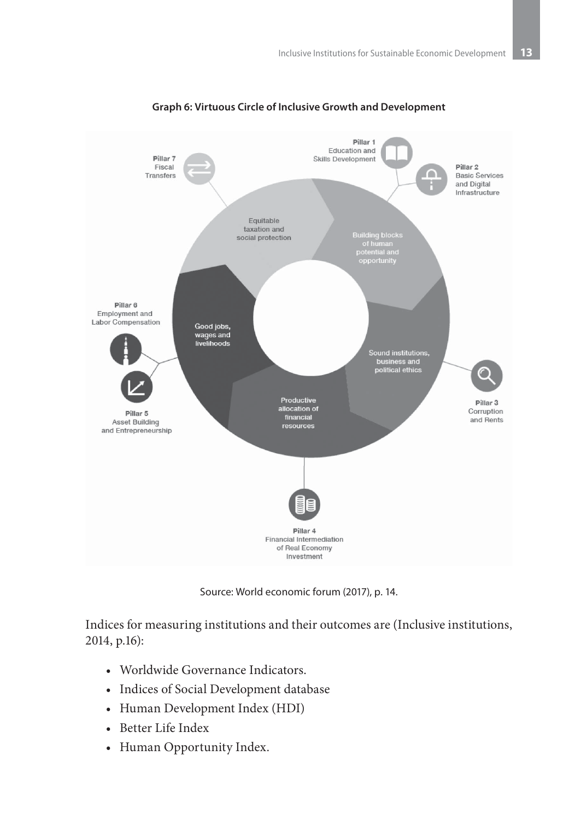

### **Graph 6: Virtuous Circle of Inclusive Growth and Development**

Source: World economic forum (2017), p. 14.

Indices for measuring institutions and their outcomes are (Inclusive institutions, 2014, p.16):

- Worldwide Governance Indicators.
- • Indices of Social Development database
- Human Development Index (HDI)
- • Better Life Index
- Human Opportunity Index.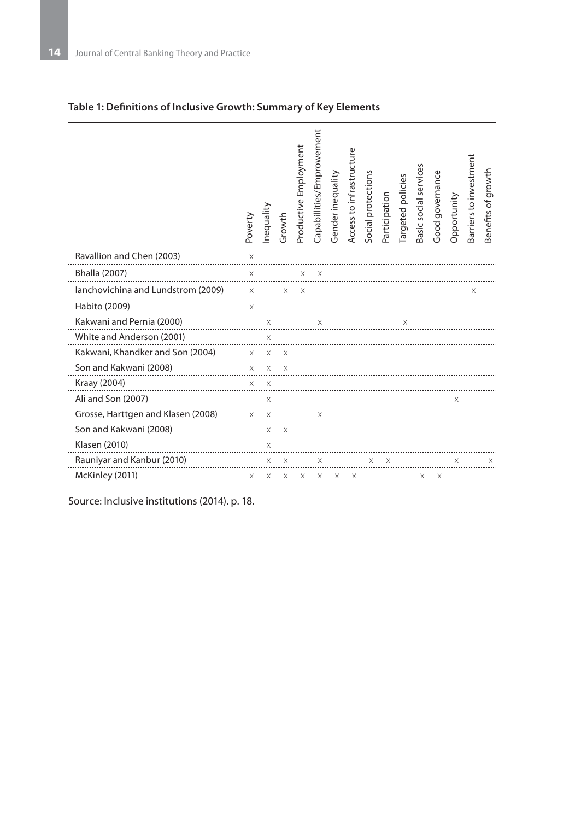|                                    | Poverty  | nequality   | Growth   | Productive Employment | Capabillities/Emprowement | Gender inequality | Access to infrastructure | Social protections | Participation | Targeted policies | Basic social services | Good governance | Opportunity | Barriers to investment | Benefits of growth |
|------------------------------------|----------|-------------|----------|-----------------------|---------------------------|-------------------|--------------------------|--------------------|---------------|-------------------|-----------------------|-----------------|-------------|------------------------|--------------------|
| Ravallion and Chen (2003)          | $\times$ |             |          |                       |                           |                   |                          |                    |               |                   |                       |                 |             |                        |                    |
| <b>Bhalla (2007)</b>               | $\times$ |             |          |                       |                           |                   |                          |                    |               |                   |                       |                 |             |                        |                    |
| lanchovichina and Lundstrom (2009) | $\times$ |             | X        | X                     |                           |                   |                          |                    |               |                   |                       |                 |             | X                      |                    |
| Habito (2009)                      | $\times$ |             |          |                       |                           |                   |                          |                    |               |                   |                       |                 |             |                        |                    |
| Kakwani and Pernia (2000)          |          | $\times$    |          |                       |                           |                   |                          |                    |               |                   |                       |                 |             |                        |                    |
| White and Anderson (2001)          |          | $\times$    |          |                       |                           |                   |                          |                    |               |                   |                       |                 |             |                        |                    |
| Kakwani, Khandker and Son (2004)   | $\times$ | X           | $\times$ |                       |                           |                   |                          |                    |               |                   |                       |                 |             |                        |                    |
| Son and Kakwani (2008)             |          | $X$ $X$ $X$ |          |                       |                           |                   |                          |                    |               |                   |                       |                 |             |                        |                    |
| Kraay (2004)                       | $\times$ | $\times$    |          |                       |                           |                   |                          |                    |               |                   |                       |                 |             |                        |                    |
| Ali and Son (2007)                 |          | $\times$    |          |                       |                           |                   |                          |                    |               |                   |                       |                 |             |                        |                    |
| Grosse, Harttgen and Klasen (2008) | $\times$ | X           |          |                       | X                         |                   |                          |                    |               |                   |                       |                 |             |                        |                    |
| Son and Kakwani (2008)             |          | X           | $\times$ |                       |                           |                   |                          |                    |               |                   |                       |                 |             |                        |                    |
| Klasen (2010)                      |          | Χ           |          |                       |                           |                   |                          |                    |               |                   |                       |                 |             |                        |                    |
| Rauniyar and Kanbur (2010)         |          | X           | $\times$ |                       | X                         |                   |                          | X.                 | X             |                   |                       |                 | X           |                        | X                  |
| McKinley (2011)                    | X        | X           | X        | X                     | Χ                         | x                 | X                        |                    |               |                   | X                     | x               |             |                        |                    |

## **Table 1: Definitions of Inclusive Growth: Summary of Key Elements**

Source: Inclusive institutions (2014). p. 18.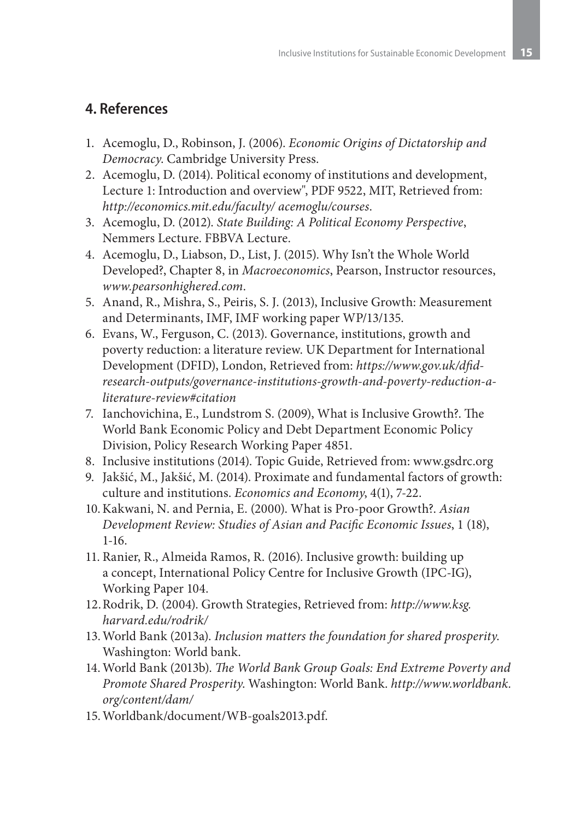## **4. References**

- 1. Acemoglu, D., Robinson, J. (2006). *Economic Origins of Dictatorship and Democracy*. Cambridge University Press.
- 2. Acemoglu, D. (2014). Political economy of institutions and development, Lecture 1: Introduction and overview", PDF 9522, MIT, Retrieved from: *http://economics.mit.edu/faculty/ acemoglu/courses*.
- 3. Acemoglu, D. (2012). *State Building: A Political Economy Perspective*, Nemmers Lecture. FBBVA Lecture.
- 4. Acemoglu, D., Liabson, D., List, J. (2015). Why Isn't the Whole World Developed?, Chapter 8, in *Macroeconomics*, Pearson, Instructor resources, *www.pearsonhighered.com*.
- 5. Anand, R., Mishra, S., Peiris, S. J. (2013), Inclusive Growth: Measurement and Determinants, IMF, IMF working paper WP/13/135.
- 6. Evans, W., Ferguson, C. (2013). Governance, institutions, growth and poverty reduction: a literature review. UK Department for International Development (DFID), London, Retrieved from: *https://www.gov.uk/dfidresearch-outputs/governance-institutions-growth-and-poverty-reduction-aliterature-review#citation*
- 7. Ianchovichina, E., Lundstrom S. (2009), What is Inclusive Growth?. The World Bank Economic Policy and Debt Department Economic Policy Division, Policy Research Working Paper 4851.
- 8. Inclusive institutions (2014). Topic Guide, Retrieved from: www.gsdrc.org
- 9. Jakšić, M., Jakšić, M. (2014). Proximate and fundamental factors of growth: culture and institutions. *Economics and Economy*, 4(1), 7-22.
- 10.Kakwani, N. and Pernia, E. (2000). What is Pro-poor Growth?. *Asian Development Review: Studies of Asian and Pacific Economic Issues*, 1 (18), 1-16.
- 11. Ranier, R., Almeida Ramos, R. (2016). Inclusive growth: building up a concept, International Policy Centre for Inclusive Growth (IPC-IG), Working Paper 104.
- 12.Rodrik, D. (2004). Growth Strategies, Retrieved from: *http://www.ksg. harvard.edu/rodrik/*
- 13.World Bank (2013a). *Inclusion matters the foundation for shared prosperity*. Washington: World bank.
- 14.World Bank (2013b). *The World Bank Group Goals: End Extreme Poverty and Promote Shared Prosperity*. Washington: World Bank. *http://www.worldbank. org/content/dam/*
- 15.Worldbank/document/WB-goals2013.pdf.